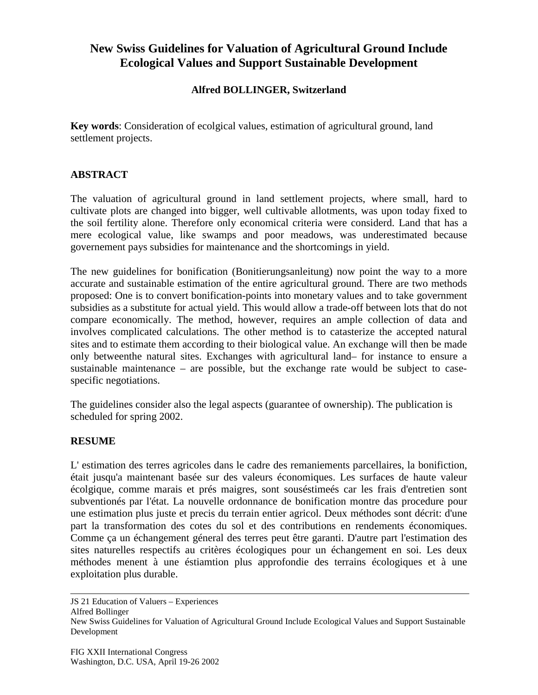# **New Swiss Guidelines for Valuation of Agricultural Ground Include Ecological Values and Support Sustainable Development**

## **Alfred BOLLINGER, Switzerland**

**Key words**: Consideration of ecolgical values, estimation of agricultural ground, land settlement projects.

## **ABSTRACT**

The valuation of agricultural ground in land settlement projects, where small, hard to cultivate plots are changed into bigger, well cultivable allotments, was upon today fixed to the soil fertility alone. Therefore only economical criteria were considerd. Land that has a mere ecological value, like swamps and poor meadows, was underestimated because governement pays subsidies for maintenance and the shortcomings in yield.

The new guidelines for bonification (Bonitierungsanleitung) now point the way to a more accurate and sustainable estimation of the entire agricultural ground. There are two methods proposed: One is to convert bonification-points into monetary values and to take government subsidies as a substitute for actual yield. This would allow a trade-off between lots that do not compare economically. The method, however, requires an ample collection of data and involves complicated calculations. The other method is to catasterize the accepted natural sites and to estimate them according to their biological value. An exchange will then be made only betweenthe natural sites. Exchanges with agricultural land– for instance to ensure a sustainable maintenance – are possible, but the exchange rate would be subject to casespecific negotiations.

The guidelines consider also the legal aspects (guarantee of ownership). The publication is scheduled for spring 2002.

### **RESUME**

L' estimation des terres agricoles dans le cadre des remaniements parcellaires, la bonifiction, était jusqu'a maintenant basée sur des valeurs économiques. Les surfaces de haute valeur écolgique, comme marais et prés maigres, sont souséstimeés car les frais d'entretien sont subventionés par l'état. La nouvelle ordonnance de bonification montre das procedure pour une estimation plus juste et precis du terrain entier agricol. Deux méthodes sont décrit: d'une part la transformation des cotes du sol et des contributions en rendements économiques. Comme ça un échangement géneral des terres peut être garanti. D'autre part l'estimation des sites naturelles respectifs au critères écologiques pour un échangement en soi. Les deux méthodes menent à une éstiamtion plus approfondie des terrains écologiques et à une exploitation plus durable.

JS 21 Education of Valuers – Experiences Alfred Bollinger New Swiss Guidelines for Valuation of Agricultural Ground Include Ecological Values and Support Sustainable Development